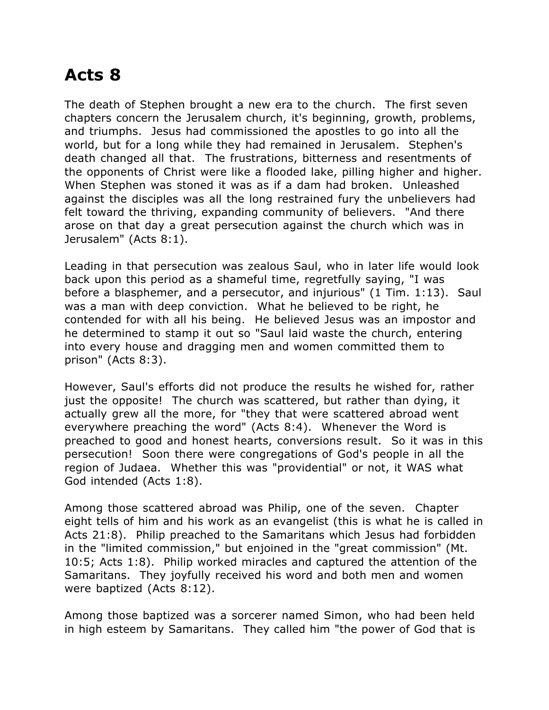## **Acts 8**

The death of Stephen brought a new era to the church. The first seven chapters concern the Jerusalem church, it's beginning, growth, problems, and triumphs. Jesus had commissioned the apostles to go into all the world, but for a long while they had remained in Jerusalem. Stephen's death changed all that. The frustrations, bitterness and resentments of the opponents of Christ were like a flooded lake, pilling higher and higher. When Stephen was stoned it was as if a dam had broken. Unleashed against the disciples was all the long restrained fury the unbelievers had felt toward the thriving, expanding community of believers. "And there arose on that day a great persecution against the church which was in Jerusalem" (Acts 8:1).

Leading in that persecution was zealous Saul, who in later life would look back upon this period as a shameful time, regretfully saying, "I was before a blasphemer, and a persecutor, and injurious" (1 Tim. 1:13). Saul was a man with deep conviction. What he believed to be right, he contended for with all his being. He believed Jesus was an impostor and he determined to stamp it out so "Saul laid waste the church, entering into every house and dragging men and women committed them to prison" (Acts 8:3).

However, Saul's efforts did not produce the results he wished for, rather just the opposite! The church was scattered, but rather than dying, it actually grew all the more, for "they that were scattered abroad went everywhere preaching the word" (Acts 8:4). Whenever the Word is preached to good and honest hearts, conversions result. So it was in this persecution! Soon there were congregations of God's people in all the region of Judaea. Whether this was "providential" or not, it WAS what God intended (Acts 1:8).

Among those scattered abroad was Philip, one of the seven. Chapter eight tells of him and his work as an evangelist (this is what he is called in Acts 21:8). Philip preached to the Samaritans which Jesus had forbidden in the "limited commission," but enjoined in the "great commission" (Mt. 10:5; Acts 1:8). Philip worked miracles and captured the attention of the Samaritans. They joyfully received his word and both men and women were baptized (Acts 8:12).

Among those baptized was a sorcerer named Simon, who had been held in high esteem by Samaritans. They called him "the power of God that is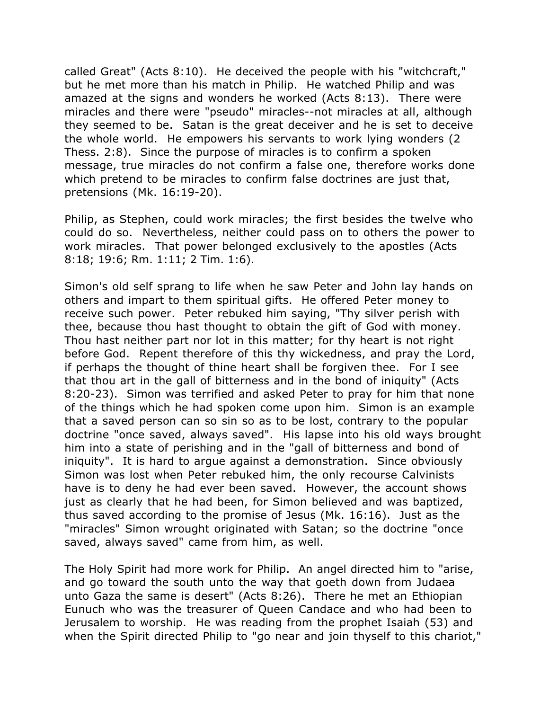called Great" (Acts 8:10). He deceived the people with his "witchcraft," but he met more than his match in Philip. He watched Philip and was amazed at the signs and wonders he worked (Acts 8:13). There were miracles and there were "pseudo" miracles--not miracles at all, although they seemed to be. Satan is the great deceiver and he is set to deceive the whole world. He empowers his servants to work lying wonders (2 Thess. 2:8). Since the purpose of miracles is to confirm a spoken message, true miracles do not confirm a false one, therefore works done which pretend to be miracles to confirm false doctrines are just that, pretensions (Mk. 16:19-20).

Philip, as Stephen, could work miracles; the first besides the twelve who could do so. Nevertheless, neither could pass on to others the power to work miracles. That power belonged exclusively to the apostles (Acts 8:18; 19:6; Rm. 1:11; 2 Tim. 1:6).

Simon's old self sprang to life when he saw Peter and John lay hands on others and impart to them spiritual gifts. He offered Peter money to receive such power. Peter rebuked him saying, "Thy silver perish with thee, because thou hast thought to obtain the gift of God with money. Thou hast neither part nor lot in this matter; for thy heart is not right before God. Repent therefore of this thy wickedness, and pray the Lord, if perhaps the thought of thine heart shall be forgiven thee. For I see that thou art in the gall of bitterness and in the bond of iniquity" (Acts 8:20-23). Simon was terrified and asked Peter to pray for him that none of the things which he had spoken come upon him. Simon is an example that a saved person can so sin so as to be lost, contrary to the popular doctrine "once saved, always saved". His lapse into his old ways brought him into a state of perishing and in the "gall of bitterness and bond of iniquity". It is hard to argue against a demonstration. Since obviously Simon was lost when Peter rebuked him, the only recourse Calvinists have is to deny he had ever been saved. However, the account shows just as clearly that he had been, for Simon believed and was baptized, thus saved according to the promise of Jesus (Mk. 16:16). Just as the "miracles" Simon wrought originated with Satan; so the doctrine "once saved, always saved" came from him, as well.

The Holy Spirit had more work for Philip. An angel directed him to "arise, and go toward the south unto the way that goeth down from Judaea unto Gaza the same is desert" (Acts 8:26). There he met an Ethiopian Eunuch who was the treasurer of Queen Candace and who had been to Jerusalem to worship. He was reading from the prophet Isaiah (53) and when the Spirit directed Philip to "go near and join thyself to this chariot,"